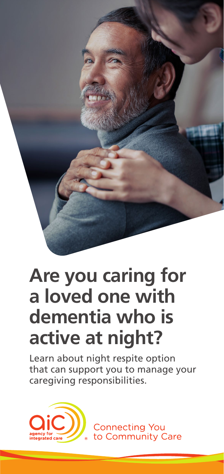

# **Are you caring for a loved one with dementia who is active at night?**

Learn about night respite option that can support you to manage your caregiving responsibilities.



**Connecting You** to Community Care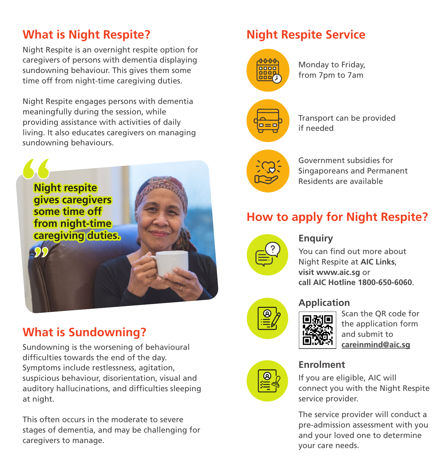# **What is Night Respite?** Night Respite Service

Night Respite is an overnight respite option for caregivers of persons with dementia displaying sundowning behaviour. This gives them some time off from night-time caregiving duties.

Night Respite engages persons with dementia meaningfully during the session, while providing assistance with activities of daily living. It also educates caregivers on managing sundowning behaviours.



# **What is Sundowning?**

Sundowning is the worsening of behavioural difficulties towards the end of the day. Symptoms include restlessness, agitation, suspicious behaviour, disorientation, visual and auditory hallucinations, and difficulties sleeping at night.

This often occurs in the moderate to severe stages of dementia, and may be challenging for caregivers to manage.



Monday to Friday, from 7pm to 7am

 $\blacksquare = \blacksquare$ 

Transport can be provided if needed

Government subsidies for Singaporeans and Permanent Residents are available

# **How to apply for Night Respite?**



#### **Enquiry**

You can find out more about Night Respite at **AIC Links**, **visit www.aic.sg** or **call AIC Hotline 1800-650-6060**.



## **Application**

Scan the QR code for the application form and submit to **careinmind@aic.sg**



## **Enrolment**

If you are eligible, AIC will connect you with the Night Respite service provider.

The service provider will conduct a pre-admission assessment with you and your loved one to determine your care needs.